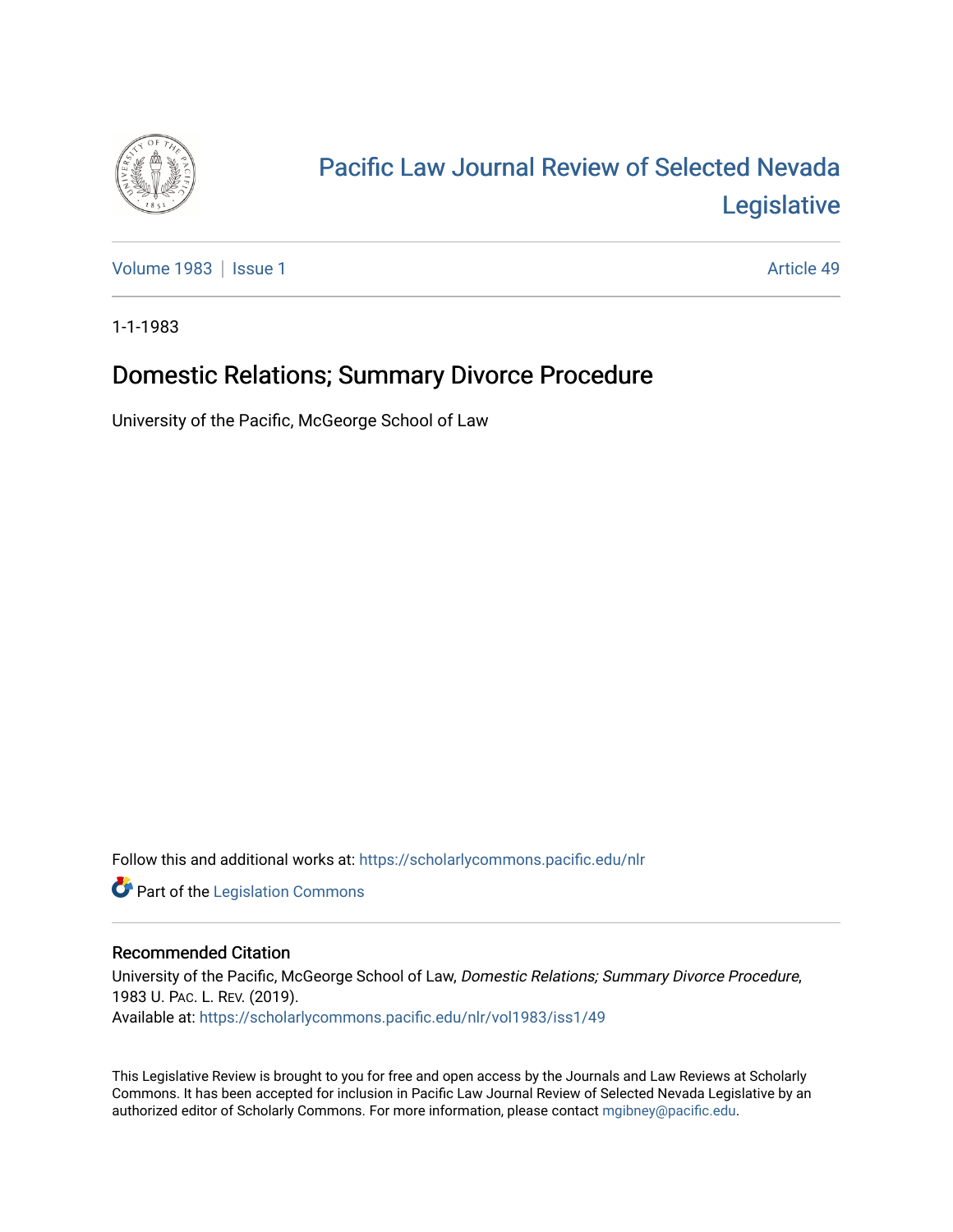

# [Pacific Law Journal Review of Selected Nevada](https://scholarlycommons.pacific.edu/nlr)  [Legislative](https://scholarlycommons.pacific.edu/nlr)

[Volume 1983](https://scholarlycommons.pacific.edu/nlr/vol1983) | [Issue 1](https://scholarlycommons.pacific.edu/nlr/vol1983/iss1) Article 49

1-1-1983

## Domestic Relations; Summary Divorce Procedure

University of the Pacific, McGeorge School of Law

Follow this and additional works at: [https://scholarlycommons.pacific.edu/nlr](https://scholarlycommons.pacific.edu/nlr?utm_source=scholarlycommons.pacific.edu%2Fnlr%2Fvol1983%2Fiss1%2F49&utm_medium=PDF&utm_campaign=PDFCoverPages) 

**Part of the [Legislation Commons](http://network.bepress.com/hgg/discipline/859?utm_source=scholarlycommons.pacific.edu%2Fnlr%2Fvol1983%2Fiss1%2F49&utm_medium=PDF&utm_campaign=PDFCoverPages)** 

### Recommended Citation

University of the Pacific, McGeorge School of Law, Domestic Relations; Summary Divorce Procedure, 1983 U. PAC. L. REV. (2019). Available at: [https://scholarlycommons.pacific.edu/nlr/vol1983/iss1/49](https://scholarlycommons.pacific.edu/nlr/vol1983/iss1/49?utm_source=scholarlycommons.pacific.edu%2Fnlr%2Fvol1983%2Fiss1%2F49&utm_medium=PDF&utm_campaign=PDFCoverPages)

This Legislative Review is brought to you for free and open access by the Journals and Law Reviews at Scholarly Commons. It has been accepted for inclusion in Pacific Law Journal Review of Selected Nevada Legislative by an authorized editor of Scholarly Commons. For more information, please contact [mgibney@pacific.edu](mailto:mgibney@pacific.edu).